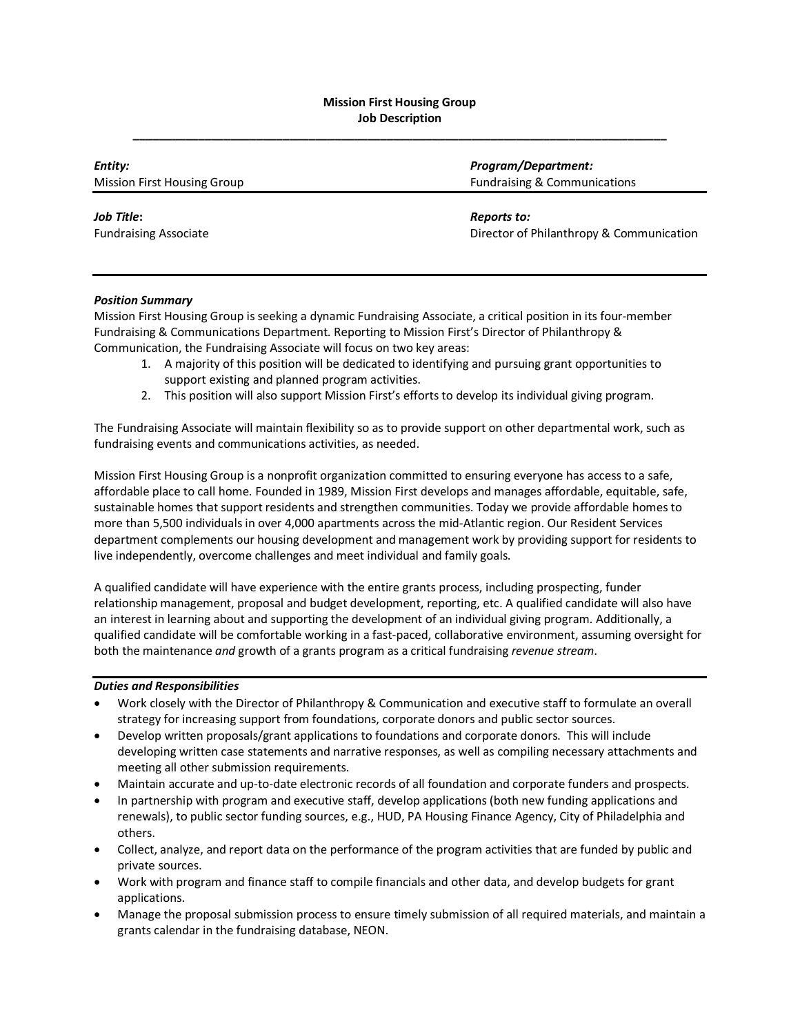# **Mission First Housing Group Job Description \_\_\_\_\_\_\_\_\_\_\_\_\_\_\_\_\_\_\_\_\_\_\_\_\_\_\_\_\_\_\_\_\_\_\_\_\_\_\_\_\_\_\_\_\_\_\_\_\_\_\_\_\_\_\_\_\_\_\_\_\_\_\_\_\_\_\_\_\_\_\_\_\_\_\_\_\_\_\_\_\_\_**

| Entity:                            | <b>Program/Department:</b>               |
|------------------------------------|------------------------------------------|
| <b>Mission First Housing Group</b> | <b>Fundraising &amp; Communications</b>  |
| Job Title:                         | Reports to:                              |
| <b>Fundraising Associate</b>       | Director of Philanthropy & Communication |
|                                    |                                          |

## *Position Summary*

Mission First Housing Group is seeking a dynamic Fundraising Associate, a critical position in its four-member Fundraising & Communications Department. Reporting to Mission First's Director of Philanthropy & Communication, the Fundraising Associate will focus on two key areas:

- 1. A majority of this position will be dedicated to identifying and pursuing grant opportunities to support existing and planned program activities.
- 2. This position will also support Mission First's efforts to develop its individual giving program.

The Fundraising Associate will maintain flexibility so as to provide support on other departmental work, such as fundraising events and communications activities, as needed.

Mission First Housing Group is a nonprofit organization committed to ensuring everyone has access to a safe, affordable place to call home. Founded in 1989, Mission First develops and manages affordable, equitable, safe, sustainable homes that support residents and strengthen communities. Today we provide affordable homes to more than 5,500 individuals in over 4,000 apartments across the mid-Atlantic region. Our Resident Services department complements our housing development and management work by providing support for residents to live independently, overcome challenges and meet individual and family goals.

A qualified candidate will have experience with the entire grants process, including prospecting, funder relationship management, proposal and budget development, reporting, etc. A qualified candidate will also have an interest in learning about and supporting the development of an individual giving program. Additionally, a qualified candidate will be comfortable working in a fast-paced, collaborative environment, assuming oversight for both the maintenance *and* growth of a grants program as a critical fundraising *revenue stream*.

#### *Duties and Responsibilities*

- Work closely with the Director of Philanthropy & Communication and executive staff to formulate an overall strategy for increasing support from foundations, corporate donors and public sector sources.
- Develop written proposals/grant applications to foundations and corporate donors. This will include developing written case statements and narrative responses, as well as compiling necessary attachments and meeting all other submission requirements.
- Maintain accurate and up-to-date electronic records of all foundation and corporate funders and prospects.
- In partnership with program and executive staff, develop applications (both new funding applications and renewals), to public sector funding sources, e.g., HUD, PA Housing Finance Agency, City of Philadelphia and others.
- Collect, analyze, and report data on the performance of the program activities that are funded by public and private sources.
- Work with program and finance staff to compile financials and other data, and develop budgets for grant applications.
- Manage the proposal submission process to ensure timely submission of all required materials, and maintain a grants calendar in the fundraising database, NEON.